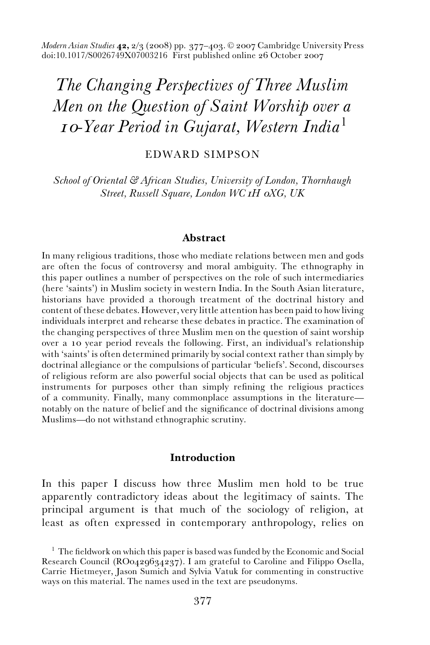*Modern Asian Studies* **42,** 2/3 (2008) pp. 377–403. <sup>C</sup> 2007 Cambridge University Press doi:10.1017/S0026749X07003216 First published online 26 October 2007

# *The Changing Perspectives of Three Muslim Men on the Question of Saint Worship over a 10-Year Period in Gujarat, Western India*<sup>1</sup>

# EDWARD SIMPSON

*School of Oriental & African Studies, University of London, Thornhaugh Street, Russell Square, London WC1H 0XG, UK*

#### **Abstract**

In many religious traditions, those who mediate relations between men and gods are often the focus of controversy and moral ambiguity. The ethnography in this paper outlines a number of perspectives on the role of such intermediaries (here 'saints') in Muslim society in western India. In the South Asian literature, historians have provided a thorough treatment of the doctrinal history and content of these debates. However, very little attention has been paid to how living individuals interpret and rehearse these debates in practice. The examination of the changing perspectives of three Muslim men on the question of saint worship over a 10 year period reveals the following. First, an individual's relationship with 'saints' is often determined primarily by social context rather than simply by doctrinal allegiance or the compulsions of particular 'beliefs'. Second, discourses of religious reform are also powerful social objects that can be used as political instruments for purposes other than simply refining the religious practices of a community. Finally, many commonplace assumptions in the literature notably on the nature of belief and the significance of doctrinal divisions among Muslims—do not withstand ethnographic scrutiny.

## **Introduction**

In this paper I discuss how three Muslim men hold to be true apparently contradictory ideas about the legitimacy of saints. The principal argument is that much of the sociology of religion, at least as often expressed in contemporary anthropology, relies on

 $1$  The fieldwork on which this paper is based was funded by the Economic and Social Research Council (RO0429634237). I am grateful to Caroline and Filippo Osella, Carrie Hietmeyer, Jason Sumich and Sylvia Vatuk for commenting in constructive ways on this material. The names used in the text are pseudonyms.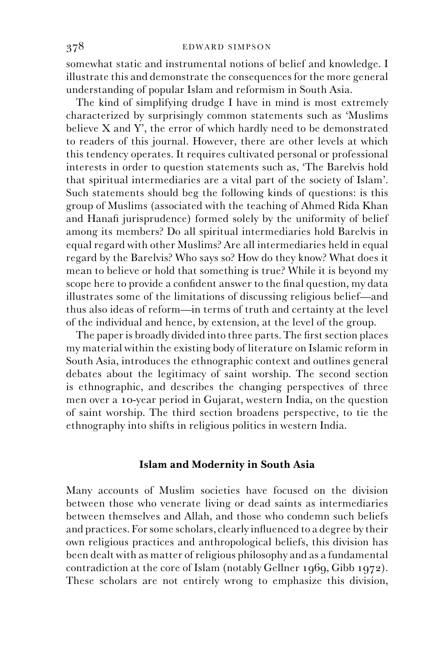somewhat static and instrumental notions of belief and knowledge. I illustrate this and demonstrate the consequences for the more general understanding of popular Islam and reformism in South Asia.

The kind of simplifying drudge I have in mind is most extremely characterized by surprisingly common statements such as 'Muslims believe X and Y', the error of which hardly need to be demonstrated to readers of this journal. However, there are other levels at which this tendency operates. It requires cultivated personal or professional interests in order to question statements such as, 'The Barelvis hold that spiritual intermediaries are a vital part of the society of Islam'. Such statements should beg the following kinds of questions: is this group of Muslims (associated with the teaching of Ahmed Rida Khan and Hanafi jurisprudence) formed solely by the uniformity of belief among its members? Do all spiritual intermediaries hold Barelvis in equal regard with other Muslims? Are all intermediaries held in equal regard by the Barelvis? Who says so? How do they know? What does it mean to believe or hold that something is true? While it is beyond my scope here to provide a confident answer to the final question, my data illustrates some of the limitations of discussing religious belief—and thus also ideas of reform—in terms of truth and certainty at the level of the individual and hence, by extension, at the level of the group.

The paper is broadly divided into three parts. The first section places my material within the existing body of literature on Islamic reform in South Asia, introduces the ethnographic context and outlines general debates about the legitimacy of saint worship. The second section is ethnographic, and describes the changing perspectives of three men over a 10-year period in Gujarat, western India, on the question of saint worship. The third section broadens perspective, to tie the ethnography into shifts in religious politics in western India.

#### **Islam and Modernity in South Asia**

Many accounts of Muslim societies have focused on the division between those who venerate living or dead saints as intermediaries between themselves and Allah, and those who condemn such beliefs and practices. For some scholars, clearly influenced to a degree by their own religious practices and anthropological beliefs, this division has been dealt with as matter of religious philosophy and as a fundamental contradiction at the core of Islam (notably Gellner 1969, Gibb 1972). These scholars are not entirely wrong to emphasize this division,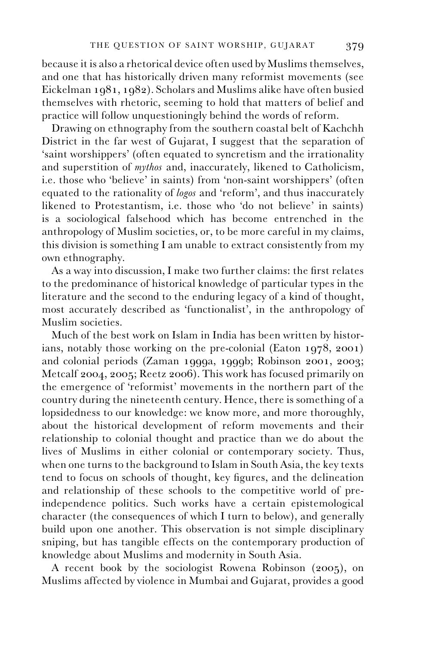because it is also a rhetorical device often used by Muslims themselves, and one that has historically driven many reformist movements (see Eickelman 1981, 1982). Scholars and Muslims alike have often busied themselves with rhetoric, seeming to hold that matters of belief and practice will follow unquestioningly behind the words of reform.

Drawing on ethnography from the southern coastal belt of Kachchh District in the far west of Gujarat, I suggest that the separation of 'saint worshippers' (often equated to syncretism and the irrationality and superstition of *mythos* and, inaccurately, likened to Catholicism, i.e. those who 'believe' in saints) from 'non-saint worshippers' (often equated to the rationality of *logos* and 'reform', and thus inaccurately likened to Protestantism, i.e. those who 'do not believe' in saints) is a sociological falsehood which has become entrenched in the anthropology of Muslim societies, or, to be more careful in my claims, this division is something I am unable to extract consistently from my own ethnography.

As a way into discussion, I make two further claims: the first relates to the predominance of historical knowledge of particular types in the literature and the second to the enduring legacy of a kind of thought, most accurately described as 'functionalist', in the anthropology of Muslim societies.

Much of the best work on Islam in India has been written by historians, notably those working on the pre-colonial (Eaton 1978, 2001) and colonial periods (Zaman 1999a, 1999b; Robinson 2001, 2003; Metcalf 2004, 2005; Reetz 2006). This work has focused primarily on the emergence of 'reformist' movements in the northern part of the country during the nineteenth century. Hence, there is something of a lopsidedness to our knowledge: we know more, and more thoroughly, about the historical development of reform movements and their relationship to colonial thought and practice than we do about the lives of Muslims in either colonial or contemporary society. Thus, when one turns to the background to Islam in South Asia, the key texts tend to focus on schools of thought, key figures, and the delineation and relationship of these schools to the competitive world of preindependence politics. Such works have a certain epistemological character (the consequences of which I turn to below), and generally build upon one another. This observation is not simple disciplinary sniping, but has tangible effects on the contemporary production of knowledge about Muslims and modernity in South Asia.

A recent book by the sociologist Rowena Robinson (2005), on Muslims affected by violence in Mumbai and Gujarat, provides a good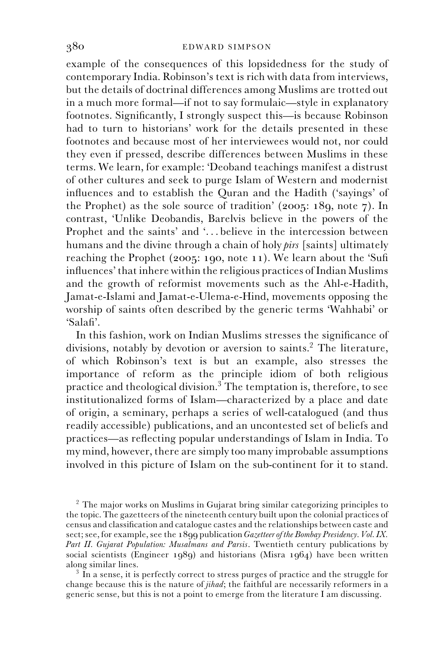example of the consequences of this lopsidedness for the study of contemporary India. Robinson's text is rich with data from interviews, but the details of doctrinal differences among Muslims are trotted out in a much more formal—if not to say formulaic—style in explanatory footnotes. Significantly, I strongly suspect this—is because Robinson had to turn to historians' work for the details presented in these footnotes and because most of her interviewees would not, nor could they even if pressed, describe differences between Muslims in these terms. We learn, for example: 'Deoband teachings manifest a distrust of other cultures and seek to purge Islam of Western and modernist influences and to establish the Quran and the Hadith ('sayings' of the Prophet) as the sole source of tradition' (2005: 189, note 7). In contrast, 'Unlike Deobandis, Barelvis believe in the powers of the Prophet and the saints' and '... believe in the intercession between humans and the divine through a chain of holy *pirs* [saints] ultimately reaching the Prophet (2005: 190, note 11). We learn about the 'Sufi influences' that inhere within the religious practices of Indian Muslims and the growth of reformist movements such as the Ahl-e-Hadith, Jamat-e-Islami and Jamat-e-Ulema-e-Hind, movements opposing the worship of saints often described by the generic terms 'Wahhabi' or 'Salafi'.

In this fashion, work on Indian Muslims stresses the significance of divisions, notably by devotion or aversion to saints.<sup>2</sup> The literature, of which Robinson's text is but an example, also stresses the importance of reform as the principle idiom of both religious practice and theological division.<sup>3</sup> The temptation is, therefore, to see institutionalized forms of Islam—characterized by a place and date of origin, a seminary, perhaps a series of well-catalogued (and thus readily accessible) publications, and an uncontested set of beliefs and practices—as reflecting popular understandings of Islam in India. To my mind, however, there are simply too many improbable assumptions involved in this picture of Islam on the sub-continent for it to stand.

<sup>2</sup> The major works on Muslims in Gujarat bring similar categorizing principles to the topic. The gazetteers of the nineteenth century built upon the colonial practices of census and classification and catalogue castes and the relationships between caste and sect; see, for example, see the 1899 publication *Gazetteer of the Bombay Presidency. Vol. IX. Part II. Gujarat Population: Musalmans and Parsis*. Twentieth century publications by social scientists (Engineer 1989) and historians (Misra 1964) have been written along similar lines.

 $3$  In a sense, it is perfectly correct to stress purges of practice and the struggle for change because this is the nature of *jihad*; the faithful are necessarily reformers in a generic sense, but this is not a point to emerge from the literature I am discussing.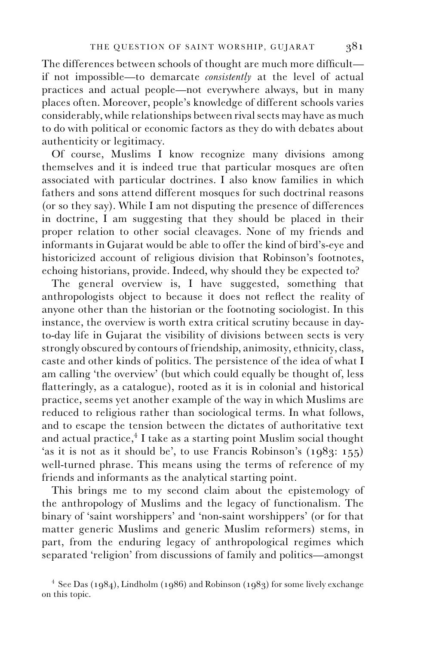The differences between schools of thought are much more difficult if not impossible—to demarcate *consistently* at the level of actual practices and actual people—not everywhere always, but in many places often. Moreover, people's knowledge of different schools varies considerably, while relationships between rival sects may have as much to do with political or economic factors as they do with debates about authenticity or legitimacy.

Of course, Muslims I know recognize many divisions among themselves and it is indeed true that particular mosques are often associated with particular doctrines. I also know families in which fathers and sons attend different mosques for such doctrinal reasons (or so they say). While I am not disputing the presence of differences in doctrine, I am suggesting that they should be placed in their proper relation to other social cleavages. None of my friends and informants in Gujarat would be able to offer the kind of bird's-eye and historicized account of religious division that Robinson's footnotes, echoing historians, provide. Indeed, why should they be expected to?

The general overview is, I have suggested, something that anthropologists object to because it does not reflect the reality of anyone other than the historian or the footnoting sociologist. In this instance, the overview is worth extra critical scrutiny because in dayto-day life in Gujarat the visibility of divisions between sects is very strongly obscured by contours of friendship, animosity, ethnicity, class, caste and other kinds of politics. The persistence of the idea of what I am calling 'the overview' (but which could equally be thought of, less flatteringly, as a catalogue), rooted as it is in colonial and historical practice, seems yet another example of the way in which Muslims are reduced to religious rather than sociological terms. In what follows, and to escape the tension between the dictates of authoritative text and actual practice, $4$  I take as a starting point Muslim social thought 'as it is not as it should be', to use Francis Robinson's (1983: 155) well-turned phrase. This means using the terms of reference of my friends and informants as the analytical starting point.

This brings me to my second claim about the epistemology of the anthropology of Muslims and the legacy of functionalism. The binary of 'saint worshippers' and 'non-saint worshippers' (or for that matter generic Muslims and generic Muslim reformers) stems, in part, from the enduring legacy of anthropological regimes which separated 'religion' from discussions of family and politics—amongst

<sup>4</sup> See Das (1984), Lindholm (1986) and Robinson (1983) for some lively exchange on this topic.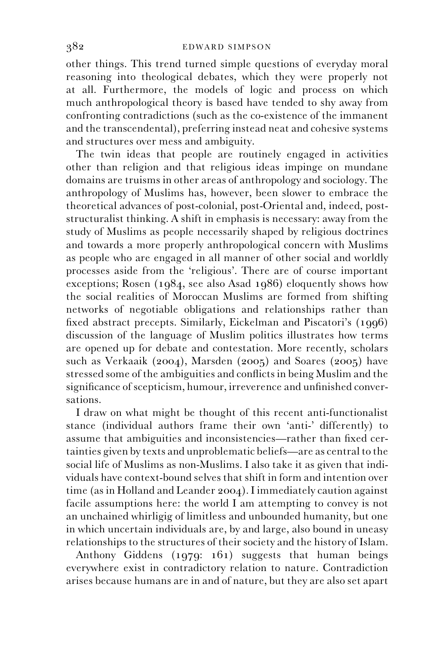other things. This trend turned simple questions of everyday moral reasoning into theological debates, which they were properly not at all. Furthermore, the models of logic and process on which much anthropological theory is based have tended to shy away from confronting contradictions (such as the co-existence of the immanent and the transcendental), preferring instead neat and cohesive systems and structures over mess and ambiguity.

The twin ideas that people are routinely engaged in activities other than religion and that religious ideas impinge on mundane domains are truisms in other areas of anthropology and sociology. The anthropology of Muslims has, however, been slower to embrace the theoretical advances of post-colonial, post-Oriental and, indeed, poststructuralist thinking. A shift in emphasis is necessary: away from the study of Muslims as people necessarily shaped by religious doctrines and towards a more properly anthropological concern with Muslims as people who are engaged in all manner of other social and worldly processes aside from the 'religious'. There are of course important exceptions; Rosen (1984, see also Asad 1986) eloquently shows how the social realities of Moroccan Muslims are formed from shifting networks of negotiable obligations and relationships rather than fixed abstract precepts. Similarly, Eickelman and Piscatori's (1996) discussion of the language of Muslim politics illustrates how terms are opened up for debate and contestation. More recently, scholars such as Verkaaik (2004), Marsden (2005) and Soares (2005) have stressed some of the ambiguities and conflicts in being Muslim and the significance of scepticism, humour, irreverence and unfinished conversations.

I draw on what might be thought of this recent anti-functionalist stance (individual authors frame their own 'anti-' differently) to assume that ambiguities and inconsistencies—rather than fixed certainties given by texts and unproblematic beliefs—are as central to the social life of Muslims as non-Muslims. I also take it as given that individuals have context-bound selves that shift in form and intention over time (as in Holland and Leander 2004). I immediately caution against facile assumptions here: the world I am attempting to convey is not an unchained whirligig of limitless and unbounded humanity, but one in which uncertain individuals are, by and large, also bound in uneasy relationships to the structures of their society and the history of Islam.

Anthony Giddens (1979: 161) suggests that human beings everywhere exist in contradictory relation to nature. Contradiction arises because humans are in and of nature, but they are also set apart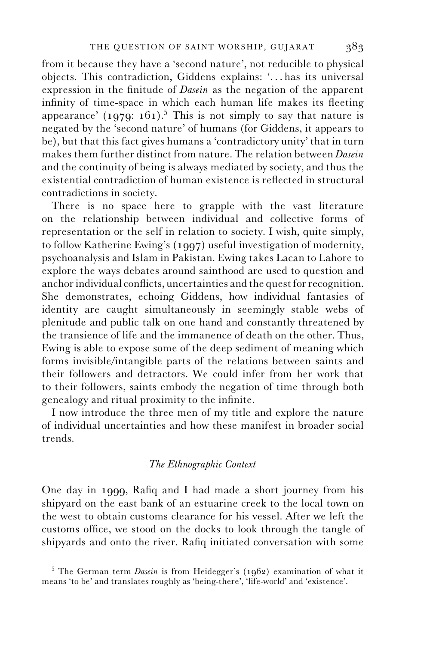from it because they have a 'second nature', not reducible to physical objects. This contradiction, Giddens explains: '... has its universal expression in the finitude of *Dasein* as the negation of the apparent infinity of time-space in which each human life makes its fleeting appearance' (1979: 161).<sup>5</sup> This is not simply to say that nature is negated by the 'second nature' of humans (for Giddens, it appears to be), but that this fact gives humans a 'contradictory unity' that in turn makes them further distinct from nature. The relation between *Dasein* and the continuity of being is always mediated by society, and thus the existential contradiction of human existence is reflected in structural contradictions in society.

There is no space here to grapple with the vast literature on the relationship between individual and collective forms of representation or the self in relation to society. I wish, quite simply, to follow Katherine Ewing's (1997) useful investigation of modernity, psychoanalysis and Islam in Pakistan. Ewing takes Lacan to Lahore to explore the ways debates around sainthood are used to question and anchor individual conflicts, uncertainties and the quest for recognition. She demonstrates, echoing Giddens, how individual fantasies of identity are caught simultaneously in seemingly stable webs of plenitude and public talk on one hand and constantly threatened by the transience of life and the immanence of death on the other. Thus, Ewing is able to expose some of the deep sediment of meaning which forms invisible/intangible parts of the relations between saints and their followers and detractors. We could infer from her work that to their followers, saints embody the negation of time through both genealogy and ritual proximity to the infinite.

I now introduce the three men of my title and explore the nature of individual uncertainties and how these manifest in broader social trends.

### *The Ethnographic Context*

One day in 1999, Rafiq and I had made a short journey from his shipyard on the east bank of an estuarine creek to the local town on the west to obtain customs clearance for his vessel. After we left the customs office, we stood on the docks to look through the tangle of shipyards and onto the river. Rafiq initiated conversation with some

<sup>5</sup> The German term *Dasein* is from Heidegger's (1962) examination of what it means 'to be' and translates roughly as 'being-there', 'life-world' and 'existence'.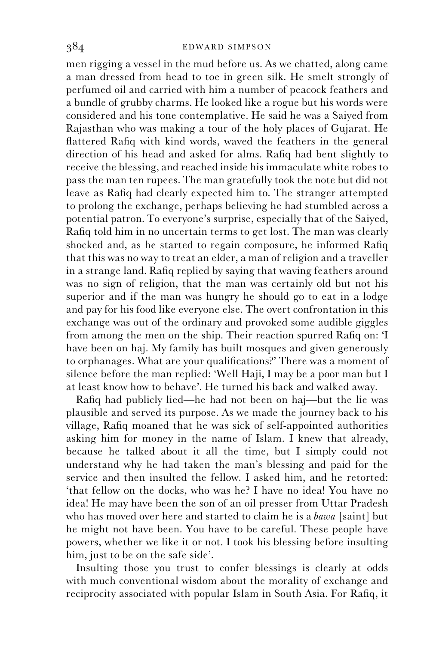men rigging a vessel in the mud before us. As we chatted, along came a man dressed from head to toe in green silk. He smelt strongly of perfumed oil and carried with him a number of peacock feathers and a bundle of grubby charms. He looked like a rogue but his words were considered and his tone contemplative. He said he was a Saiyed from Rajasthan who was making a tour of the holy places of Gujarat. He flattered Rafiq with kind words, waved the feathers in the general direction of his head and asked for alms. Rafiq had bent slightly to receive the blessing, and reached inside his immaculate white robes to pass the man ten rupees. The man gratefully took the note but did not leave as Rafiq had clearly expected him to. The stranger attempted to prolong the exchange, perhaps believing he had stumbled across a potential patron. To everyone's surprise, especially that of the Saiyed, Rafiq told him in no uncertain terms to get lost. The man was clearly shocked and, as he started to regain composure, he informed Rafiq that this was no way to treat an elder, a man of religion and a traveller in a strange land. Rafiq replied by saying that waving feathers around was no sign of religion, that the man was certainly old but not his superior and if the man was hungry he should go to eat in a lodge and pay for his food like everyone else. The overt confrontation in this exchange was out of the ordinary and provoked some audible giggles from among the men on the ship. Their reaction spurred Rafiq on: 'I have been on haj. My family has built mosques and given generously to orphanages. What are your qualifications?' There was a moment of silence before the man replied: 'Well Haji, I may be a poor man but I at least know how to behave'. He turned his back and walked away.

Rafiq had publicly lied—he had not been on haj—but the lie was plausible and served its purpose. As we made the journey back to his village, Rafiq moaned that he was sick of self-appointed authorities asking him for money in the name of Islam. I knew that already, because he talked about it all the time, but I simply could not understand why he had taken the man's blessing and paid for the service and then insulted the fellow. I asked him, and he retorted: 'that fellow on the docks, who was he? I have no idea! You have no idea! He may have been the son of an oil presser from Uttar Pradesh who has moved over here and started to claim he is a *bawa* [saint] but he might not have been. You have to be careful. These people have powers, whether we like it or not. I took his blessing before insulting him, just to be on the safe side'.

Insulting those you trust to confer blessings is clearly at odds with much conventional wisdom about the morality of exchange and reciprocity associated with popular Islam in South Asia. For Rafiq, it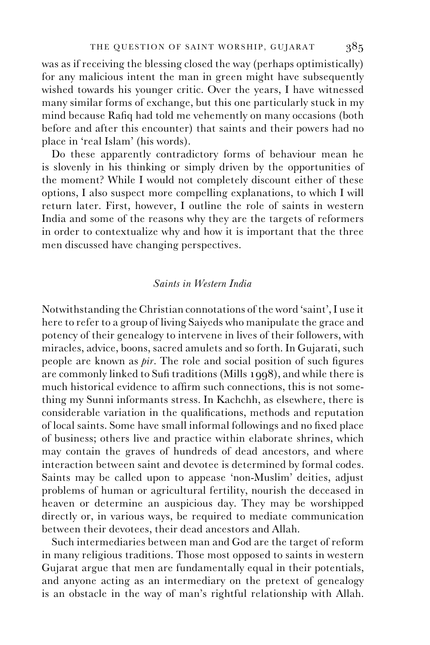was as if receiving the blessing closed the way (perhaps optimistically) for any malicious intent the man in green might have subsequently wished towards his younger critic. Over the years, I have witnessed many similar forms of exchange, but this one particularly stuck in my mind because Rafiq had told me vehemently on many occasions (both before and after this encounter) that saints and their powers had no place in 'real Islam' (his words).

Do these apparently contradictory forms of behaviour mean he is slovenly in his thinking or simply driven by the opportunities of the moment? While I would not completely discount either of these options, I also suspect more compelling explanations, to which I will return later. First, however, I outline the role of saints in western India and some of the reasons why they are the targets of reformers in order to contextualize why and how it is important that the three men discussed have changing perspectives.

## *Saints in Western India*

Notwithstanding the Christian connotations of the word 'saint', I use it here to refer to a group of living Saiyeds who manipulate the grace and potency of their genealogy to intervene in lives of their followers, with miracles, advice, boons, sacred amulets and so forth. In Gujarati, such people are known as *pir*. The role and social position of such figures are commonly linked to Sufi traditions (Mills 1998), and while there is much historical evidence to affirm such connections, this is not something my Sunni informants stress. In Kachchh, as elsewhere, there is considerable variation in the qualifications, methods and reputation of local saints. Some have small informal followings and no fixed place of business; others live and practice within elaborate shrines, which may contain the graves of hundreds of dead ancestors, and where interaction between saint and devotee is determined by formal codes. Saints may be called upon to appease 'non-Muslim' deities, adjust problems of human or agricultural fertility, nourish the deceased in heaven or determine an auspicious day. They may be worshipped directly or, in various ways, be required to mediate communication between their devotees, their dead ancestors and Allah.

Such intermediaries between man and God are the target of reform in many religious traditions. Those most opposed to saints in western Gujarat argue that men are fundamentally equal in their potentials, and anyone acting as an intermediary on the pretext of genealogy is an obstacle in the way of man's rightful relationship with Allah.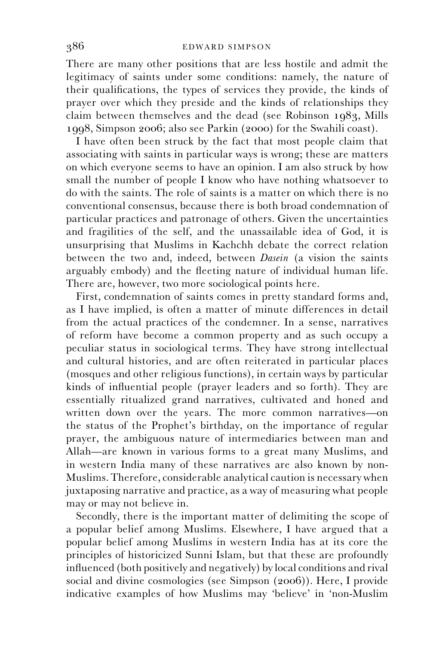There are many other positions that are less hostile and admit the legitimacy of saints under some conditions: namely, the nature of their qualifications, the types of services they provide, the kinds of prayer over which they preside and the kinds of relationships they claim between themselves and the dead (see Robinson 1983, Mills 1998, Simpson 2006; also see Parkin (2000) for the Swahili coast).

I have often been struck by the fact that most people claim that associating with saints in particular ways is wrong; these are matters on which everyone seems to have an opinion. I am also struck by how small the number of people I know who have nothing whatsoever to do with the saints. The role of saints is a matter on which there is no conventional consensus, because there is both broad condemnation of particular practices and patronage of others. Given the uncertainties and fragilities of the self, and the unassailable idea of God, it is unsurprising that Muslims in Kachchh debate the correct relation between the two and, indeed, between *Dasein* (a vision the saints arguably embody) and the fleeting nature of individual human life. There are, however, two more sociological points here.

First, condemnation of saints comes in pretty standard forms and, as I have implied, is often a matter of minute differences in detail from the actual practices of the condemner. In a sense, narratives of reform have become a common property and as such occupy a peculiar status in sociological terms. They have strong intellectual and cultural histories, and are often reiterated in particular places (mosques and other religious functions), in certain ways by particular kinds of influential people (prayer leaders and so forth). They are essentially ritualized grand narratives, cultivated and honed and written down over the years. The more common narratives—on the status of the Prophet's birthday, on the importance of regular prayer, the ambiguous nature of intermediaries between man and Allah—are known in various forms to a great many Muslims, and in western India many of these narratives are also known by non-Muslims. Therefore, considerable analytical caution is necessary when juxtaposing narrative and practice, as a way of measuring what people may or may not believe in.

Secondly, there is the important matter of delimiting the scope of a popular belief among Muslims. Elsewhere, I have argued that a popular belief among Muslims in western India has at its core the principles of historicized Sunni Islam, but that these are profoundly influenced (both positively and negatively) by local conditions and rival social and divine cosmologies (see Simpson (2006)). Here, I provide indicative examples of how Muslims may 'believe' in 'non-Muslim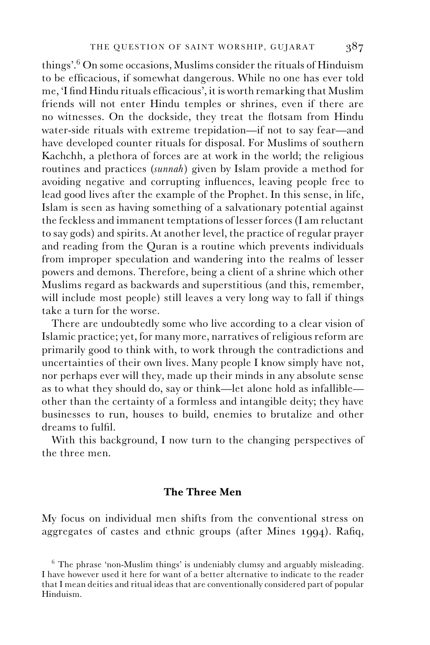things'.6 On some occasions, Muslims consider the rituals of Hinduism to be efficacious, if somewhat dangerous. While no one has ever told me, 'I find Hindu rituals efficacious', it is worth remarking that Muslim friends will not enter Hindu temples or shrines, even if there are no witnesses. On the dockside, they treat the flotsam from Hindu water-side rituals with extreme trepidation—if not to say fear—and have developed counter rituals for disposal. For Muslims of southern Kachchh, a plethora of forces are at work in the world; the religious routines and practices (*sunnah*) given by Islam provide a method for avoiding negative and corrupting influences, leaving people free to lead good lives after the example of the Prophet. In this sense, in life, Islam is seen as having something of a salvationary potential against the feckless and immanent temptations of lesser forces (I am reluctant to say gods) and spirits. At another level, the practice of regular prayer and reading from the Quran is a routine which prevents individuals from improper speculation and wandering into the realms of lesser powers and demons. Therefore, being a client of a shrine which other Muslims regard as backwards and superstitious (and this, remember, will include most people) still leaves a very long way to fall if things take a turn for the worse.

There are undoubtedly some who live according to a clear vision of Islamic practice; yet, for many more, narratives of religious reform are primarily good to think with, to work through the contradictions and uncertainties of their own lives. Many people I know simply have not, nor perhaps ever will they, made up their minds in any absolute sense as to what they should do, say or think—let alone hold as infallible other than the certainty of a formless and intangible deity; they have businesses to run, houses to build, enemies to brutalize and other dreams to fulfil.

With this background, I now turn to the changing perspectives of the three men.

## **The Three Men**

My focus on individual men shifts from the conventional stress on aggregates of castes and ethnic groups (after Mines 1994). Rafiq,

 $6$  The phrase 'non-Muslim things' is undeniably clumsy and arguably misleading. I have however used it here for want of a better alternative to indicate to the reader that I mean deities and ritual ideas that are conventionally considered part of popular Hinduism.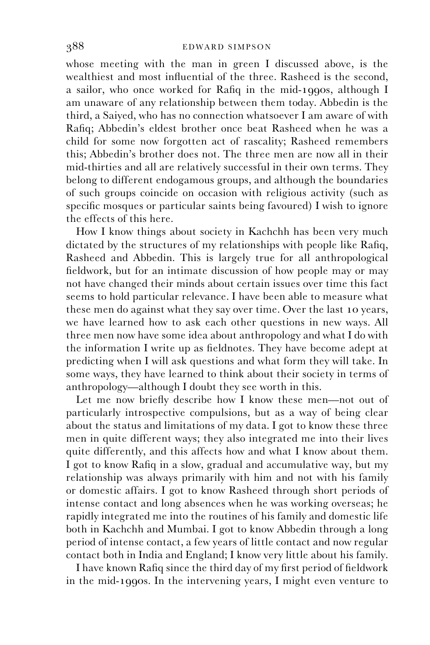whose meeting with the man in green I discussed above, is the wealthiest and most influential of the three. Rasheed is the second, a sailor, who once worked for Rafiq in the mid-1990s, although I am unaware of any relationship between them today. Abbedin is the third, a Saiyed, who has no connection whatsoever I am aware of with Rafiq; Abbedin's eldest brother once beat Rasheed when he was a child for some now forgotten act of rascality; Rasheed remembers this; Abbedin's brother does not. The three men are now all in their mid-thirties and all are relatively successful in their own terms. They belong to different endogamous groups, and although the boundaries of such groups coincide on occasion with religious activity (such as specific mosques or particular saints being favoured) I wish to ignore the effects of this here.

How I know things about society in Kachchh has been very much dictated by the structures of my relationships with people like Rafiq, Rasheed and Abbedin. This is largely true for all anthropological fieldwork, but for an intimate discussion of how people may or may not have changed their minds about certain issues over time this fact seems to hold particular relevance. I have been able to measure what these men do against what they say over time. Over the last 10 years, we have learned how to ask each other questions in new ways. All three men now have some idea about anthropology and what I do with the information I write up as fieldnotes. They have become adept at predicting when I will ask questions and what form they will take. In some ways, they have learned to think about their society in terms of anthropology—although I doubt they see worth in this.

Let me now briefly describe how I know these men—not out of particularly introspective compulsions, but as a way of being clear about the status and limitations of my data. I got to know these three men in quite different ways; they also integrated me into their lives quite differently, and this affects how and what I know about them. I got to know Rafiq in a slow, gradual and accumulative way, but my relationship was always primarily with him and not with his family or domestic affairs. I got to know Rasheed through short periods of intense contact and long absences when he was working overseas; he rapidly integrated me into the routines of his family and domestic life both in Kachchh and Mumbai. I got to know Abbedin through a long period of intense contact, a few years of little contact and now regular contact both in India and England; I know very little about his family.

I have known Rafiq since the third day of my first period of fieldwork in the mid-1990s. In the intervening years, I might even venture to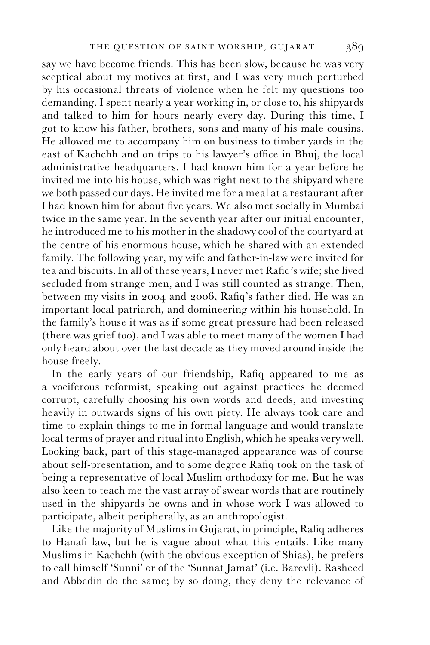say we have become friends. This has been slow, because he was very sceptical about my motives at first, and I was very much perturbed by his occasional threats of violence when he felt my questions too demanding. I spent nearly a year working in, or close to, his shipyards and talked to him for hours nearly every day. During this time, I got to know his father, brothers, sons and many of his male cousins. He allowed me to accompany him on business to timber yards in the east of Kachchh and on trips to his lawyer's office in Bhuj, the local administrative headquarters. I had known him for a year before he invited me into his house, which was right next to the shipyard where we both passed our days. He invited me for a meal at a restaurant after I had known him for about five years. We also met socially in Mumbai twice in the same year. In the seventh year after our initial encounter, he introduced me to his mother in the shadowy cool of the courtyard at the centre of his enormous house, which he shared with an extended family. The following year, my wife and father-in-law were invited for tea and biscuits. In all of these years, I never met Rafiq's wife; she lived secluded from strange men, and I was still counted as strange. Then, between my visits in 2004 and 2006, Rafiq's father died. He was an important local patriarch, and domineering within his household. In the family's house it was as if some great pressure had been released (there was grief too), and I was able to meet many of the women I had only heard about over the last decade as they moved around inside the house freely.

In the early years of our friendship, Rafiq appeared to me as a vociferous reformist, speaking out against practices he deemed corrupt, carefully choosing his own words and deeds, and investing heavily in outwards signs of his own piety. He always took care and time to explain things to me in formal language and would translate local terms of prayer and ritual into English, which he speaks very well. Looking back, part of this stage-managed appearance was of course about self-presentation, and to some degree Rafiq took on the task of being a representative of local Muslim orthodoxy for me. But he was also keen to teach me the vast array of swear words that are routinely used in the shipyards he owns and in whose work I was allowed to participate, albeit peripherally, as an anthropologist.

Like the majority of Muslims in Gujarat, in principle, Rafiq adheres to Hanafi law, but he is vague about what this entails. Like many Muslims in Kachchh (with the obvious exception of Shias), he prefers to call himself 'Sunni' or of the 'Sunnat Jamat' (i.e. Barevli). Rasheed and Abbedin do the same; by so doing, they deny the relevance of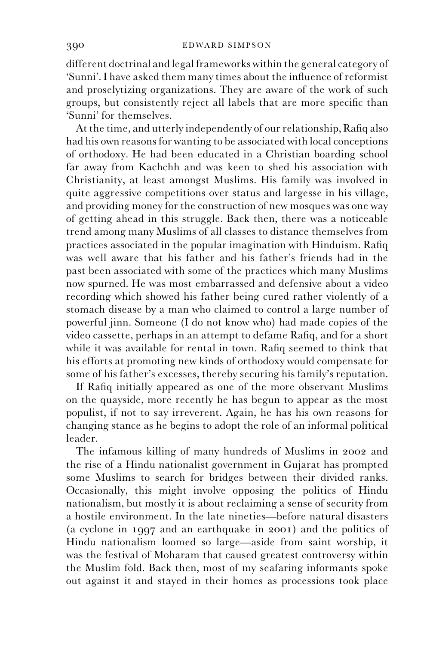different doctrinal and legal frameworks within the general category of 'Sunni'. I have asked them many times about the influence of reformist and proselytizing organizations. They are aware of the work of such groups, but consistently reject all labels that are more specific than 'Sunni' for themselves.

At the time, and utterly independently of our relationship, Rafiq also had his own reasons for wanting to be associated with local conceptions of orthodoxy. He had been educated in a Christian boarding school far away from Kachchh and was keen to shed his association with Christianity, at least amongst Muslims. His family was involved in quite aggressive competitions over status and largesse in his village, and providing money for the construction of new mosques was one way of getting ahead in this struggle. Back then, there was a noticeable trend among many Muslims of all classes to distance themselves from practices associated in the popular imagination with Hinduism. Rafiq was well aware that his father and his father's friends had in the past been associated with some of the practices which many Muslims now spurned. He was most embarrassed and defensive about a video recording which showed his father being cured rather violently of a stomach disease by a man who claimed to control a large number of powerful jinn. Someone (I do not know who) had made copies of the video cassette, perhaps in an attempt to defame Rafiq, and for a short while it was available for rental in town. Rafiq seemed to think that his efforts at promoting new kinds of orthodoxy would compensate for some of his father's excesses, thereby securing his family's reputation.

If Rafiq initially appeared as one of the more observant Muslims on the quayside, more recently he has begun to appear as the most populist, if not to say irreverent. Again, he has his own reasons for changing stance as he begins to adopt the role of an informal political leader.

The infamous killing of many hundreds of Muslims in 2002 and the rise of a Hindu nationalist government in Gujarat has prompted some Muslims to search for bridges between their divided ranks. Occasionally, this might involve opposing the politics of Hindu nationalism, but mostly it is about reclaiming a sense of security from a hostile environment. In the late nineties—before natural disasters (a cyclone in 1997 and an earthquake in 2001) and the politics of Hindu nationalism loomed so large—aside from saint worship, it was the festival of Moharam that caused greatest controversy within the Muslim fold. Back then, most of my seafaring informants spoke out against it and stayed in their homes as processions took place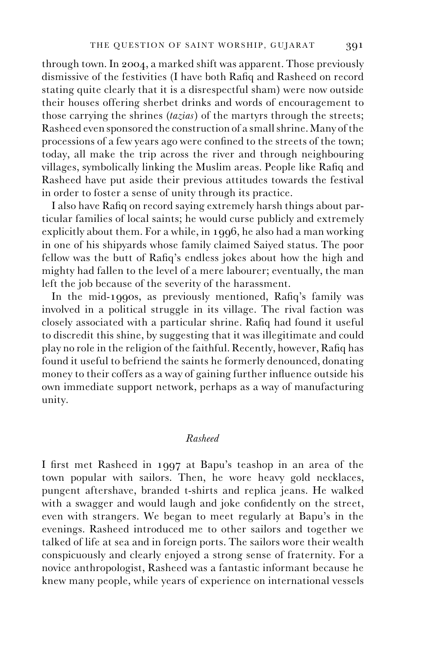through town. In 2004, a marked shift was apparent. Those previously dismissive of the festivities (I have both Rafiq and Rasheed on record stating quite clearly that it is a disrespectful sham) were now outside their houses offering sherbet drinks and words of encouragement to those carrying the shrines (*tazias*) of the martyrs through the streets; Rasheed even sponsored the construction of a small shrine. Many of the processions of a few years ago were confined to the streets of the town; today, all make the trip across the river and through neighbouring villages, symbolically linking the Muslim areas. People like Rafiq and Rasheed have put aside their previous attitudes towards the festival in order to foster a sense of unity through its practice.

I also have Rafiq on record saying extremely harsh things about particular families of local saints; he would curse publicly and extremely explicitly about them. For a while, in 1996, he also had a man working in one of his shipyards whose family claimed Saiyed status. The poor fellow was the butt of Rafiq's endless jokes about how the high and mighty had fallen to the level of a mere labourer; eventually, the man left the job because of the severity of the harassment.

In the mid-1990s, as previously mentioned, Rafiq's family was involved in a political struggle in its village. The rival faction was closely associated with a particular shrine. Rafiq had found it useful to discredit this shine, by suggesting that it was illegitimate and could play no role in the religion of the faithful. Recently, however, Rafiq has found it useful to befriend the saints he formerly denounced, donating money to their coffers as a way of gaining further influence outside his own immediate support network, perhaps as a way of manufacturing unity.

#### *Rasheed*

I first met Rasheed in 1997 at Bapu's teashop in an area of the town popular with sailors. Then, he wore heavy gold necklaces, pungent aftershave, branded t-shirts and replica jeans. He walked with a swagger and would laugh and joke confidently on the street, even with strangers. We began to meet regularly at Bapu's in the evenings. Rasheed introduced me to other sailors and together we talked of life at sea and in foreign ports. The sailors wore their wealth conspicuously and clearly enjoyed a strong sense of fraternity. For a novice anthropologist, Rasheed was a fantastic informant because he knew many people, while years of experience on international vessels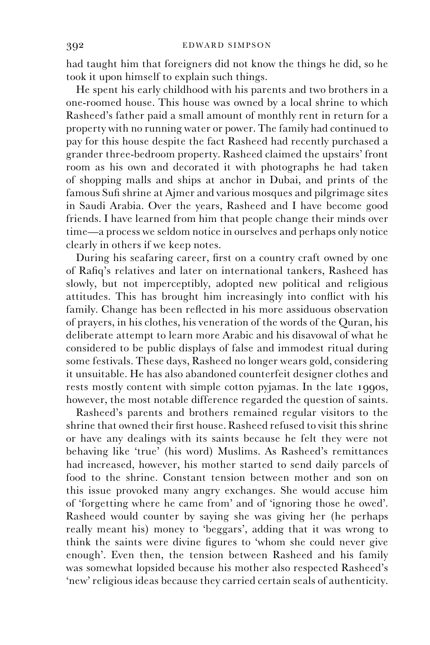had taught him that foreigners did not know the things he did, so he took it upon himself to explain such things.

He spent his early childhood with his parents and two brothers in a one-roomed house. This house was owned by a local shrine to which Rasheed's father paid a small amount of monthly rent in return for a property with no running water or power. The family had continued to pay for this house despite the fact Rasheed had recently purchased a grander three-bedroom property. Rasheed claimed the upstairs' front room as his own and decorated it with photographs he had taken of shopping malls and ships at anchor in Dubai, and prints of the famous Sufi shrine at Ajmer and various mosques and pilgrimage sites in Saudi Arabia. Over the years, Rasheed and I have become good friends. I have learned from him that people change their minds over time—a process we seldom notice in ourselves and perhaps only notice clearly in others if we keep notes.

During his seafaring career, first on a country craft owned by one of Rafiq's relatives and later on international tankers, Rasheed has slowly, but not imperceptibly, adopted new political and religious attitudes. This has brought him increasingly into conflict with his family. Change has been reflected in his more assiduous observation of prayers, in his clothes, his veneration of the words of the Quran, his deliberate attempt to learn more Arabic and his disavowal of what he considered to be public displays of false and immodest ritual during some festivals. These days, Rasheed no longer wears gold, considering it unsuitable. He has also abandoned counterfeit designer clothes and rests mostly content with simple cotton pyjamas. In the late 1990s, however, the most notable difference regarded the question of saints.

Rasheed's parents and brothers remained regular visitors to the shrine that owned their first house. Rasheed refused to visit this shrine or have any dealings with its saints because he felt they were not behaving like 'true' (his word) Muslims. As Rasheed's remittances had increased, however, his mother started to send daily parcels of food to the shrine. Constant tension between mother and son on this issue provoked many angry exchanges. She would accuse him of 'forgetting where he came from' and of 'ignoring those he owed'. Rasheed would counter by saying she was giving her (he perhaps really meant his) money to 'beggars', adding that it was wrong to think the saints were divine figures to 'whom she could never give enough'. Even then, the tension between Rasheed and his family was somewhat lopsided because his mother also respected Rasheed's 'new' religious ideas because they carried certain seals of authenticity.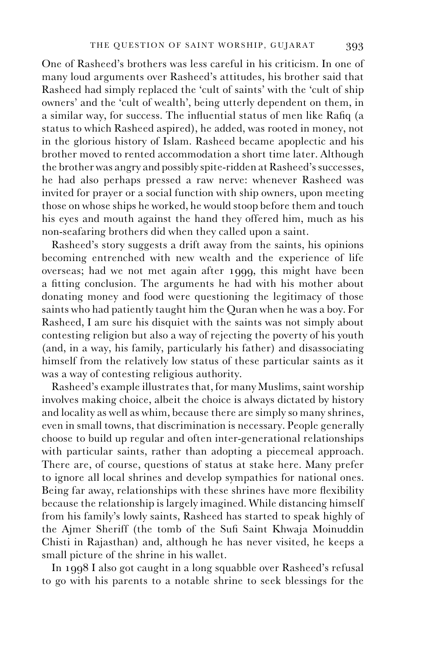One of Rasheed's brothers was less careful in his criticism. In one of many loud arguments over Rasheed's attitudes, his brother said that Rasheed had simply replaced the 'cult of saints' with the 'cult of ship owners' and the 'cult of wealth', being utterly dependent on them, in a similar way, for success. The influential status of men like Rafiq (a status to which Rasheed aspired), he added, was rooted in money, not in the glorious history of Islam. Rasheed became apoplectic and his brother moved to rented accommodation a short time later. Although the brother was angry and possibly spite-ridden at Rasheed's successes, he had also perhaps pressed a raw nerve: whenever Rasheed was invited for prayer or a social function with ship owners, upon meeting those on whose ships he worked, he would stoop before them and touch his eyes and mouth against the hand they offered him, much as his non-seafaring brothers did when they called upon a saint.

Rasheed's story suggests a drift away from the saints, his opinions becoming entrenched with new wealth and the experience of life overseas; had we not met again after 1999, this might have been a fitting conclusion. The arguments he had with his mother about donating money and food were questioning the legitimacy of those saints who had patiently taught him the Quran when he was a boy. For Rasheed, I am sure his disquiet with the saints was not simply about contesting religion but also a way of rejecting the poverty of his youth (and, in a way, his family, particularly his father) and disassociating himself from the relatively low status of these particular saints as it was a way of contesting religious authority.

Rasheed's example illustrates that, for many Muslims, saint worship involves making choice, albeit the choice is always dictated by history and locality as well as whim, because there are simply so many shrines, even in small towns, that discrimination is necessary. People generally choose to build up regular and often inter-generational relationships with particular saints, rather than adopting a piecemeal approach. There are, of course, questions of status at stake here. Many prefer to ignore all local shrines and develop sympathies for national ones. Being far away, relationships with these shrines have more flexibility because the relationship is largely imagined. While distancing himself from his family's lowly saints, Rasheed has started to speak highly of the Ajmer Sheriff (the tomb of the Sufi Saint Khwaja Moinuddin Chisti in Rajasthan) and, although he has never visited, he keeps a small picture of the shrine in his wallet.

In 1998 I also got caught in a long squabble over Rasheed's refusal to go with his parents to a notable shrine to seek blessings for the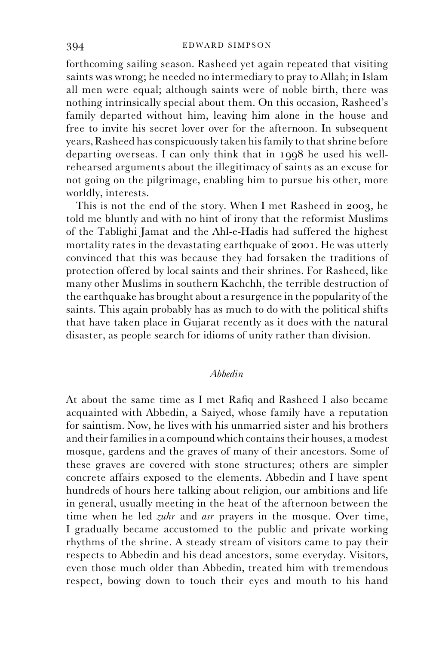#### 394 EDWARD SIMPSON

forthcoming sailing season. Rasheed yet again repeated that visiting saints was wrong; he needed no intermediary to pray to Allah; in Islam all men were equal; although saints were of noble birth, there was nothing intrinsically special about them. On this occasion, Rasheed's family departed without him, leaving him alone in the house and free to invite his secret lover over for the afternoon. In subsequent years, Rasheed has conspicuously taken his family to that shrine before departing overseas. I can only think that in 1998 he used his wellrehearsed arguments about the illegitimacy of saints as an excuse for not going on the pilgrimage, enabling him to pursue his other, more worldly, interests.

This is not the end of the story. When I met Rasheed in 2003, he told me bluntly and with no hint of irony that the reformist Muslims of the Tablighi Jamat and the Ahl-e-Hadis had suffered the highest mortality rates in the devastating earthquake of 2001. He was utterly convinced that this was because they had forsaken the traditions of protection offered by local saints and their shrines. For Rasheed, like many other Muslims in southern Kachchh, the terrible destruction of the earthquake has brought about a resurgence in the popularity of the saints. This again probably has as much to do with the political shifts that have taken place in Gujarat recently as it does with the natural disaster, as people search for idioms of unity rather than division.

#### *Abbedin*

At about the same time as I met Rafiq and Rasheed I also became acquainted with Abbedin, a Saiyed, whose family have a reputation for saintism. Now, he lives with his unmarried sister and his brothers and their families in a compound which contains their houses, a modest mosque, gardens and the graves of many of their ancestors. Some of these graves are covered with stone structures; others are simpler concrete affairs exposed to the elements. Abbedin and I have spent hundreds of hours here talking about religion, our ambitions and life in general, usually meeting in the heat of the afternoon between the time when he led *zuhr* and *asr* prayers in the mosque. Over time, I gradually became accustomed to the public and private working rhythms of the shrine. A steady stream of visitors came to pay their respects to Abbedin and his dead ancestors, some everyday. Visitors, even those much older than Abbedin, treated him with tremendous respect, bowing down to touch their eyes and mouth to his hand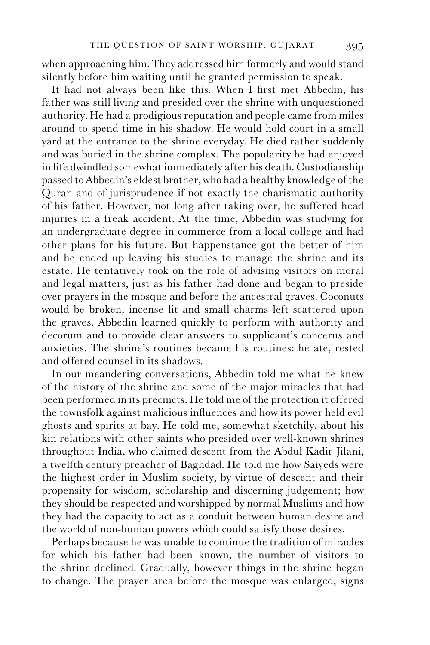when approaching him. They addressed him formerly and would stand silently before him waiting until he granted permission to speak.

It had not always been like this. When I first met Abbedin, his father was still living and presided over the shrine with unquestioned authority. He had a prodigious reputation and people came from miles around to spend time in his shadow. He would hold court in a small yard at the entrance to the shrine everyday. He died rather suddenly and was buried in the shrine complex. The popularity he had enjoyed in life dwindled somewhat immediately after his death. Custodianship passed to Abbedin's eldest brother, who had a healthy knowledge of the Quran and of jurisprudence if not exactly the charismatic authority of his father. However, not long after taking over, he suffered head injuries in a freak accident. At the time, Abbedin was studying for an undergraduate degree in commerce from a local college and had other plans for his future. But happenstance got the better of him and he ended up leaving his studies to manage the shrine and its estate. He tentatively took on the role of advising visitors on moral and legal matters, just as his father had done and began to preside over prayers in the mosque and before the ancestral graves. Coconuts would be broken, incense lit and small charms left scattered upon the graves. Abbedin learned quickly to perform with authority and decorum and to provide clear answers to supplicant's concerns and anxieties. The shrine's routines became his routines: he ate, rested and offered counsel in its shadows.

In our meandering conversations, Abbedin told me what he knew of the history of the shrine and some of the major miracles that had been performed in its precincts. He told me of the protection it offered the townsfolk against malicious influences and how its power held evil ghosts and spirits at bay. He told me, somewhat sketchily, about his kin relations with other saints who presided over well-known shrines throughout India, who claimed descent from the Abdul Kadir Jilani, a twelfth century preacher of Baghdad. He told me how Saiyeds were the highest order in Muslim society, by virtue of descent and their propensity for wisdom, scholarship and discerning judgement; how they should be respected and worshipped by normal Muslims and how they had the capacity to act as a conduit between human desire and the world of non-human powers which could satisfy those desires.

Perhaps because he was unable to continue the tradition of miracles for which his father had been known, the number of visitors to the shrine declined. Gradually, however things in the shrine began to change. The prayer area before the mosque was enlarged, signs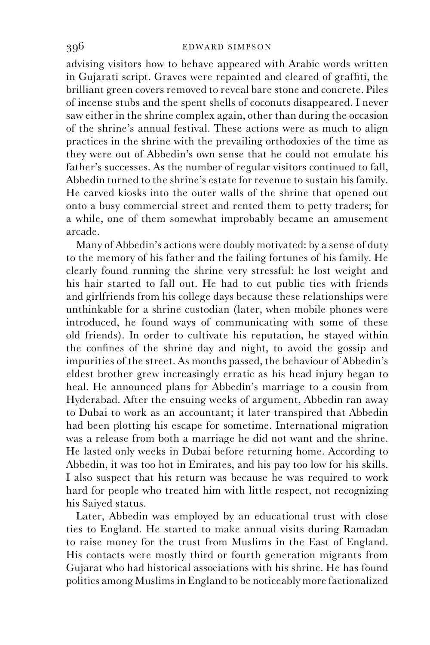advising visitors how to behave appeared with Arabic words written in Gujarati script. Graves were repainted and cleared of graffiti, the brilliant green covers removed to reveal bare stone and concrete. Piles of incense stubs and the spent shells of coconuts disappeared. I never saw either in the shrine complex again, other than during the occasion of the shrine's annual festival. These actions were as much to align practices in the shrine with the prevailing orthodoxies of the time as they were out of Abbedin's own sense that he could not emulate his father's successes. As the number of regular visitors continued to fall, Abbedin turned to the shrine's estate for revenue to sustain his family. He carved kiosks into the outer walls of the shrine that opened out onto a busy commercial street and rented them to petty traders; for a while, one of them somewhat improbably became an amusement arcade.

Many of Abbedin's actions were doubly motivated: by a sense of duty to the memory of his father and the failing fortunes of his family. He clearly found running the shrine very stressful: he lost weight and his hair started to fall out. He had to cut public ties with friends and girlfriends from his college days because these relationships were unthinkable for a shrine custodian (later, when mobile phones were introduced, he found ways of communicating with some of these old friends). In order to cultivate his reputation, he stayed within the confines of the shrine day and night, to avoid the gossip and impurities of the street. As months passed, the behaviour of Abbedin's eldest brother grew increasingly erratic as his head injury began to heal. He announced plans for Abbedin's marriage to a cousin from Hyderabad. After the ensuing weeks of argument, Abbedin ran away to Dubai to work as an accountant; it later transpired that Abbedin had been plotting his escape for sometime. International migration was a release from both a marriage he did not want and the shrine. He lasted only weeks in Dubai before returning home. According to Abbedin, it was too hot in Emirates, and his pay too low for his skills. I also suspect that his return was because he was required to work hard for people who treated him with little respect, not recognizing his Saiyed status.

Later, Abbedin was employed by an educational trust with close ties to England. He started to make annual visits during Ramadan to raise money for the trust from Muslims in the East of England. His contacts were mostly third or fourth generation migrants from Gujarat who had historical associations with his shrine. He has found politics among Muslims in England to be noticeably more factionalized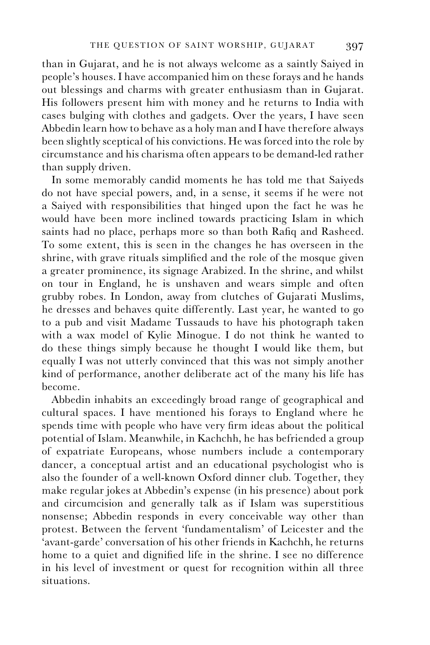than in Gujarat, and he is not always welcome as a saintly Saiyed in people's houses. I have accompanied him on these forays and he hands out blessings and charms with greater enthusiasm than in Gujarat. His followers present him with money and he returns to India with cases bulging with clothes and gadgets. Over the years, I have seen Abbedin learn how to behave as a holy man and I have therefore always been slightly sceptical of his convictions. He was forced into the role by circumstance and his charisma often appears to be demand-led rather than supply driven.

In some memorably candid moments he has told me that Saiyeds do not have special powers, and, in a sense, it seems if he were not a Saiyed with responsibilities that hinged upon the fact he was he would have been more inclined towards practicing Islam in which saints had no place, perhaps more so than both Rafiq and Rasheed. To some extent, this is seen in the changes he has overseen in the shrine, with grave rituals simplified and the role of the mosque given a greater prominence, its signage Arabized. In the shrine, and whilst on tour in England, he is unshaven and wears simple and often grubby robes. In London, away from clutches of Gujarati Muslims, he dresses and behaves quite differently. Last year, he wanted to go to a pub and visit Madame Tussauds to have his photograph taken with a wax model of Kylie Minogue. I do not think he wanted to do these things simply because he thought I would like them, but equally I was not utterly convinced that this was not simply another kind of performance, another deliberate act of the many his life has become.

Abbedin inhabits an exceedingly broad range of geographical and cultural spaces. I have mentioned his forays to England where he spends time with people who have very firm ideas about the political potential of Islam. Meanwhile, in Kachchh, he has befriended a group of expatriate Europeans, whose numbers include a contemporary dancer, a conceptual artist and an educational psychologist who is also the founder of a well-known Oxford dinner club. Together, they make regular jokes at Abbedin's expense (in his presence) about pork and circumcision and generally talk as if Islam was superstitious nonsense; Abbedin responds in every conceivable way other than protest. Between the fervent 'fundamentalism' of Leicester and the 'avant-garde' conversation of his other friends in Kachchh, he returns home to a quiet and dignified life in the shrine. I see no difference in his level of investment or quest for recognition within all three situations.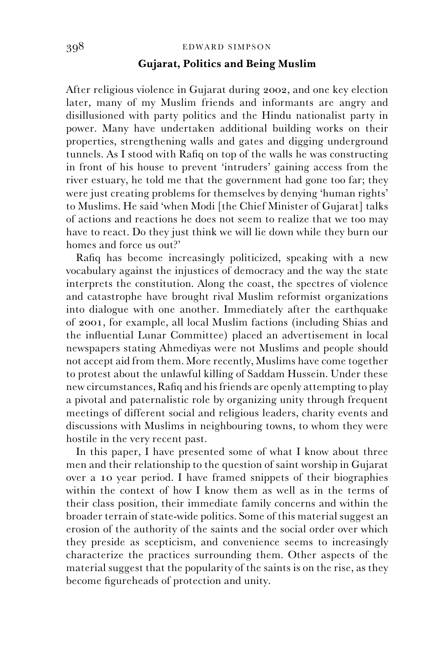## **Gujarat, Politics and Being Muslim**

After religious violence in Gujarat during 2002, and one key election later, many of my Muslim friends and informants are angry and disillusioned with party politics and the Hindu nationalist party in power. Many have undertaken additional building works on their properties, strengthening walls and gates and digging underground tunnels. As I stood with Rafiq on top of the walls he was constructing in front of his house to prevent 'intruders' gaining access from the river estuary, he told me that the government had gone too far; they were just creating problems for themselves by denying 'human rights' to Muslims. He said 'when Modi [the Chief Minister of Gujarat] talks of actions and reactions he does not seem to realize that we too may have to react. Do they just think we will lie down while they burn our homes and force us out?'

Rafiq has become increasingly politicized, speaking with a new vocabulary against the injustices of democracy and the way the state interprets the constitution. Along the coast, the spectres of violence and catastrophe have brought rival Muslim reformist organizations into dialogue with one another. Immediately after the earthquake of 2001, for example, all local Muslim factions (including Shias and the influential Lunar Committee) placed an advertisement in local newspapers stating Ahmediyas were not Muslims and people should not accept aid from them. More recently, Muslims have come together to protest about the unlawful killing of Saddam Hussein. Under these new circumstances, Rafiq and his friends are openly attempting to play a pivotal and paternalistic role by organizing unity through frequent meetings of different social and religious leaders, charity events and discussions with Muslims in neighbouring towns, to whom they were hostile in the very recent past.

In this paper, I have presented some of what I know about three men and their relationship to the question of saint worship in Gujarat over a 10 year period. I have framed snippets of their biographies within the context of how I know them as well as in the terms of their class position, their immediate family concerns and within the broader terrain of state-wide politics. Some of this material suggest an erosion of the authority of the saints and the social order over which they preside as scepticism, and convenience seems to increasingly characterize the practices surrounding them. Other aspects of the material suggest that the popularity of the saints is on the rise, as they become figureheads of protection and unity.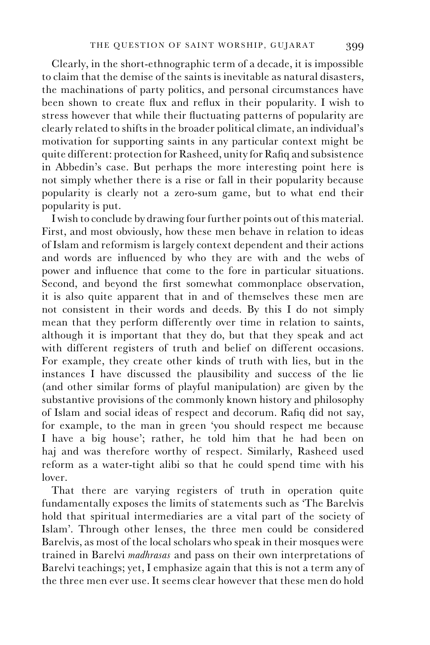Clearly, in the short-ethnographic term of a decade, it is impossible to claim that the demise of the saints is inevitable as natural disasters, the machinations of party politics, and personal circumstances have been shown to create flux and reflux in their popularity. I wish to stress however that while their fluctuating patterns of popularity are clearly related to shifts in the broader political climate, an individual's motivation for supporting saints in any particular context might be quite different: protection for Rasheed, unity for Rafiq and subsistence in Abbedin's case. But perhaps the more interesting point here is not simply whether there is a rise or fall in their popularity because popularity is clearly not a zero-sum game, but to what end their popularity is put.

I wish to conclude by drawing four further points out of this material. First, and most obviously, how these men behave in relation to ideas of Islam and reformism is largely context dependent and their actions and words are influenced by who they are with and the webs of power and influence that come to the fore in particular situations. Second, and beyond the first somewhat commonplace observation, it is also quite apparent that in and of themselves these men are not consistent in their words and deeds. By this I do not simply mean that they perform differently over time in relation to saints, although it is important that they do, but that they speak and act with different registers of truth and belief on different occasions. For example, they create other kinds of truth with lies, but in the instances I have discussed the plausibility and success of the lie (and other similar forms of playful manipulation) are given by the substantive provisions of the commonly known history and philosophy of Islam and social ideas of respect and decorum. Rafiq did not say, for example, to the man in green 'you should respect me because I have a big house'; rather, he told him that he had been on haj and was therefore worthy of respect. Similarly, Rasheed used reform as a water-tight alibi so that he could spend time with his lover.

That there are varying registers of truth in operation quite fundamentally exposes the limits of statements such as 'The Barelvis hold that spiritual intermediaries are a vital part of the society of Islam'. Through other lenses, the three men could be considered Barelvis, as most of the local scholars who speak in their mosques were trained in Barelvi *madhrasas* and pass on their own interpretations of Barelvi teachings; yet, I emphasize again that this is not a term any of the three men ever use. It seems clear however that these men do hold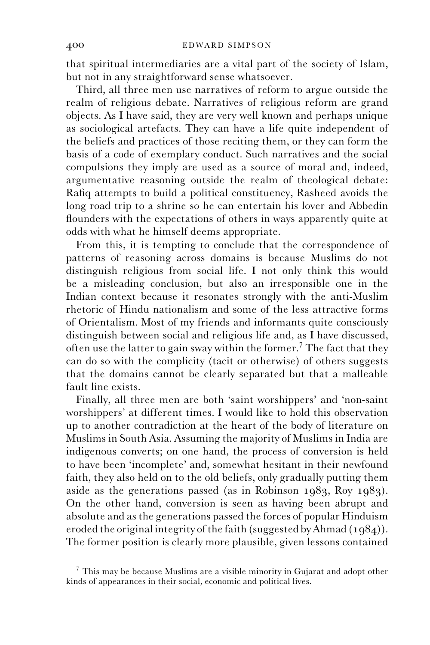that spiritual intermediaries are a vital part of the society of Islam, but not in any straightforward sense whatsoever.

Third, all three men use narratives of reform to argue outside the realm of religious debate. Narratives of religious reform are grand objects. As I have said, they are very well known and perhaps unique as sociological artefacts. They can have a life quite independent of the beliefs and practices of those reciting them, or they can form the basis of a code of exemplary conduct. Such narratives and the social compulsions they imply are used as a source of moral and, indeed, argumentative reasoning outside the realm of theological debate: Rafiq attempts to build a political constituency, Rasheed avoids the long road trip to a shrine so he can entertain his lover and Abbedin flounders with the expectations of others in ways apparently quite at odds with what he himself deems appropriate.

From this, it is tempting to conclude that the correspondence of patterns of reasoning across domains is because Muslims do not distinguish religious from social life. I not only think this would be a misleading conclusion, but also an irresponsible one in the Indian context because it resonates strongly with the anti-Muslim rhetoric of Hindu nationalism and some of the less attractive forms of Orientalism. Most of my friends and informants quite consciously distinguish between social and religious life and, as I have discussed, often use the latter to gain sway within the former.<sup>7</sup> The fact that they can do so with the complicity (tacit or otherwise) of others suggests that the domains cannot be clearly separated but that a malleable fault line exists.

Finally, all three men are both 'saint worshippers' and 'non-saint worshippers' at different times. I would like to hold this observation up to another contradiction at the heart of the body of literature on Muslims in South Asia. Assuming the majority of Muslims in India are indigenous converts; on one hand, the process of conversion is held to have been 'incomplete' and, somewhat hesitant in their newfound faith, they also held on to the old beliefs, only gradually putting them aside as the generations passed (as in Robinson 1983, Roy 1983). On the other hand, conversion is seen as having been abrupt and absolute and as the generations passed the forces of popular Hinduism eroded the original integrity of the faith (suggested by Ahmad (1984)). The former position is clearly more plausible, given lessons contained

 $7$  This may be because Muslims are a visible minority in Gujarat and adopt other kinds of appearances in their social, economic and political lives.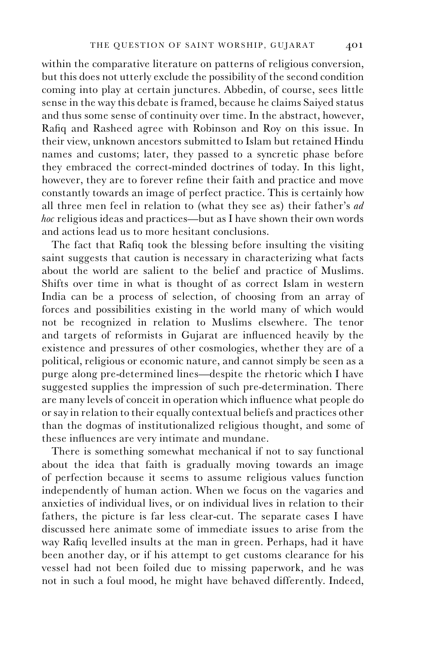within the comparative literature on patterns of religious conversion, but this does not utterly exclude the possibility of the second condition coming into play at certain junctures. Abbedin, of course, sees little sense in the way this debate is framed, because he claims Saiyed status and thus some sense of continuity over time. In the abstract, however, Rafiq and Rasheed agree with Robinson and Roy on this issue. In their view, unknown ancestors submitted to Islam but retained Hindu names and customs; later, they passed to a syncretic phase before they embraced the correct-minded doctrines of today. In this light, however, they are to forever refine their faith and practice and move constantly towards an image of perfect practice. This is certainly how all three men feel in relation to (what they see as) their father's *ad hoc* religious ideas and practices—but as I have shown their own words and actions lead us to more hesitant conclusions.

The fact that Rafiq took the blessing before insulting the visiting saint suggests that caution is necessary in characterizing what facts about the world are salient to the belief and practice of Muslims. Shifts over time in what is thought of as correct Islam in western India can be a process of selection, of choosing from an array of forces and possibilities existing in the world many of which would not be recognized in relation to Muslims elsewhere. The tenor and targets of reformists in Gujarat are influenced heavily by the existence and pressures of other cosmologies, whether they are of a political, religious or economic nature, and cannot simply be seen as a purge along pre-determined lines—despite the rhetoric which I have suggested supplies the impression of such pre-determination. There are many levels of conceit in operation which influence what people do or say in relation to their equally contextual beliefs and practices other than the dogmas of institutionalized religious thought, and some of these influences are very intimate and mundane.

There is something somewhat mechanical if not to say functional about the idea that faith is gradually moving towards an image of perfection because it seems to assume religious values function independently of human action. When we focus on the vagaries and anxieties of individual lives, or on individual lives in relation to their fathers, the picture is far less clear-cut. The separate cases I have discussed here animate some of immediate issues to arise from the way Rafiq levelled insults at the man in green. Perhaps, had it have been another day, or if his attempt to get customs clearance for his vessel had not been foiled due to missing paperwork, and he was not in such a foul mood, he might have behaved differently. Indeed,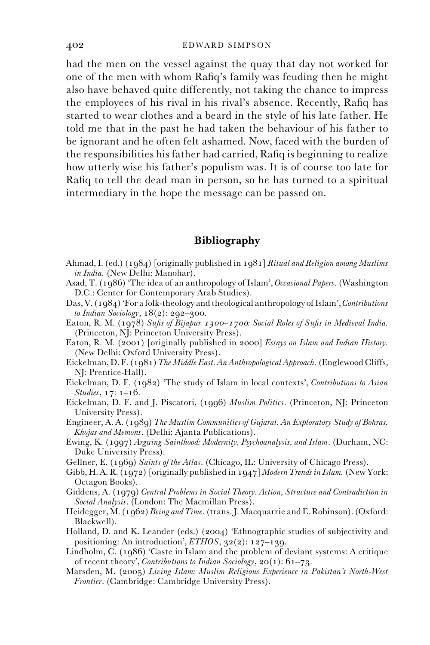#### 402 EDWARD SIMPSON

had the men on the vessel against the quay that day not worked for one of the men with whom Rafiq's family was feuding then he might also have behaved quite differently, not taking the chance to impress the employees of his rival in his rival's absence. Recently, Rafiq has started to wear clothes and a beard in the style of his late father. He told me that in the past he had taken the behaviour of his father to be ignorant and he often felt ashamed. Now, faced with the burden of the responsibilities his father had carried, Rafiq is beginning to realize how utterly wise his father's populism was. It is of course too late for Rafiq to tell the dead man in person, so he has turned to a spiritual intermediary in the hope the message can be passed on.

## **Bibliography**

- Ahmad, I. (ed.) (1984) [originally published in 1981] *Ritual and Religion among Muslims in India.* (New Delhi: Manohar).
- Asad, T. (1986) 'The idea of an anthropology of Islam', *Occasional Papers*. (Washington D.C.: Center for Contemporary Arab Studies).
- Das, V. (1984) 'For a folk-theology and theological anthropology of Islam',*Contributions to Indian Sociology*, 18(2): 292–300.
- Eaton, R. M. (1978) *Sufis of Bijapur 1300–1700: Social Roles of Sufis in Medieval India.* (Princeton, NJ: Princeton University Press).
- Eaton, R. M. (2001) [originally published in 2000] *Essays on Islam and Indian History.* (New Delhi: Oxford University Press).
- Eickelman, D. F. (1981) *The Middle East. An Anthropological Approach.*(Englewood Cliffs, NJ: Prentice-Hall).
- Eickelman, D. F. (1982) 'The study of Islam in local contexts', *Contributions to Asian Studies*, 17: 1–16.
- Eickelman, D. F. and J. Piscatori, (1996) *Muslim Politics*. (Princeton, NJ: Princeton University Press).
- Engineer, A. A. (1989) *The Muslim Communities of Gujarat. An Exploratory Study of Bohras, Khojas and Memons*. (Delhi: Ajanta Publications).
- Ewing, K. (1997) *Arguing Sainthood: Modernity, Psychoanalysis, and Islam*. (Durham, NC: Duke University Press).
- Gellner, E. (1969) *Saints of the Atlas*. (Chicago, IL: University of Chicago Press).
- Gibb, H. A. R. (1972) [originally published in 1947] *Modern Trends in Islam.*(New York: Octagon Books).
- Giddens, A. (1979) *Central Problems in Social Theory. Action, Structure and Contradiction in Social Analysis*. (London: The Macmillan Press).
- Heidegger, M. (1962) *Being and Time*. (trans. J. Macquarrie and E. Robinson). (Oxford: Blackwell).
- Holland, D. and K. Leander (eds.) (2004) 'Ethnographic studies of subjectivity and positioning: An introduction', *ETHOS*, 32(2): 127–139.
- Lindholm, C. (1986) 'Caste in Islam and the problem of deviant systems: A critique of recent theory', *Contributions to Indian Sociology*, 20(1): 61–73.
- Marsden, M. (2005) *Living Islam: Muslim Religious Experience in Pakistan's North-West Frontier*. (Cambridge: Cambridge University Press).